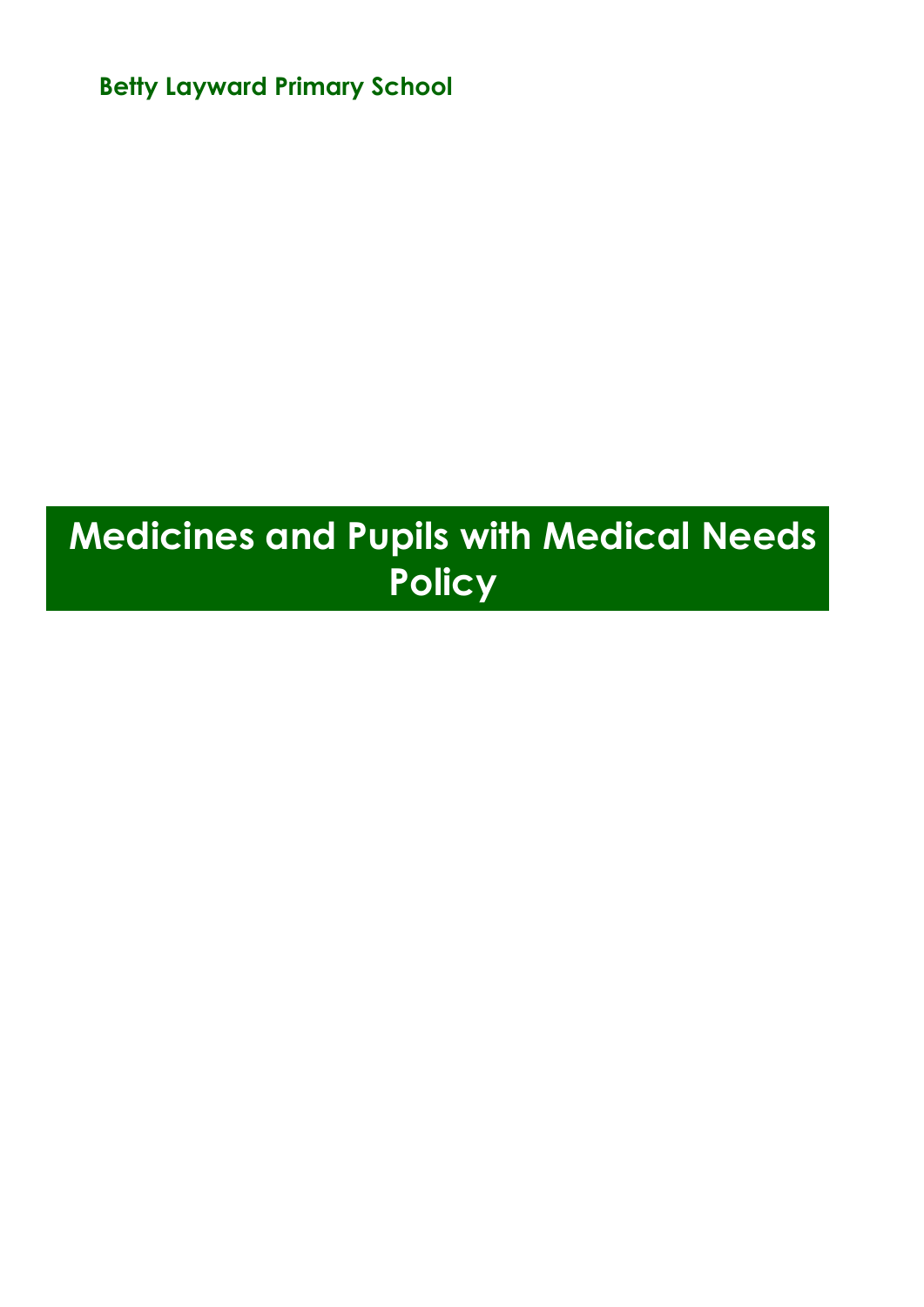**Betty Layward Primary School** 

# **Medicines and Pupils with Medical Needs Policy**

**2014 - 15**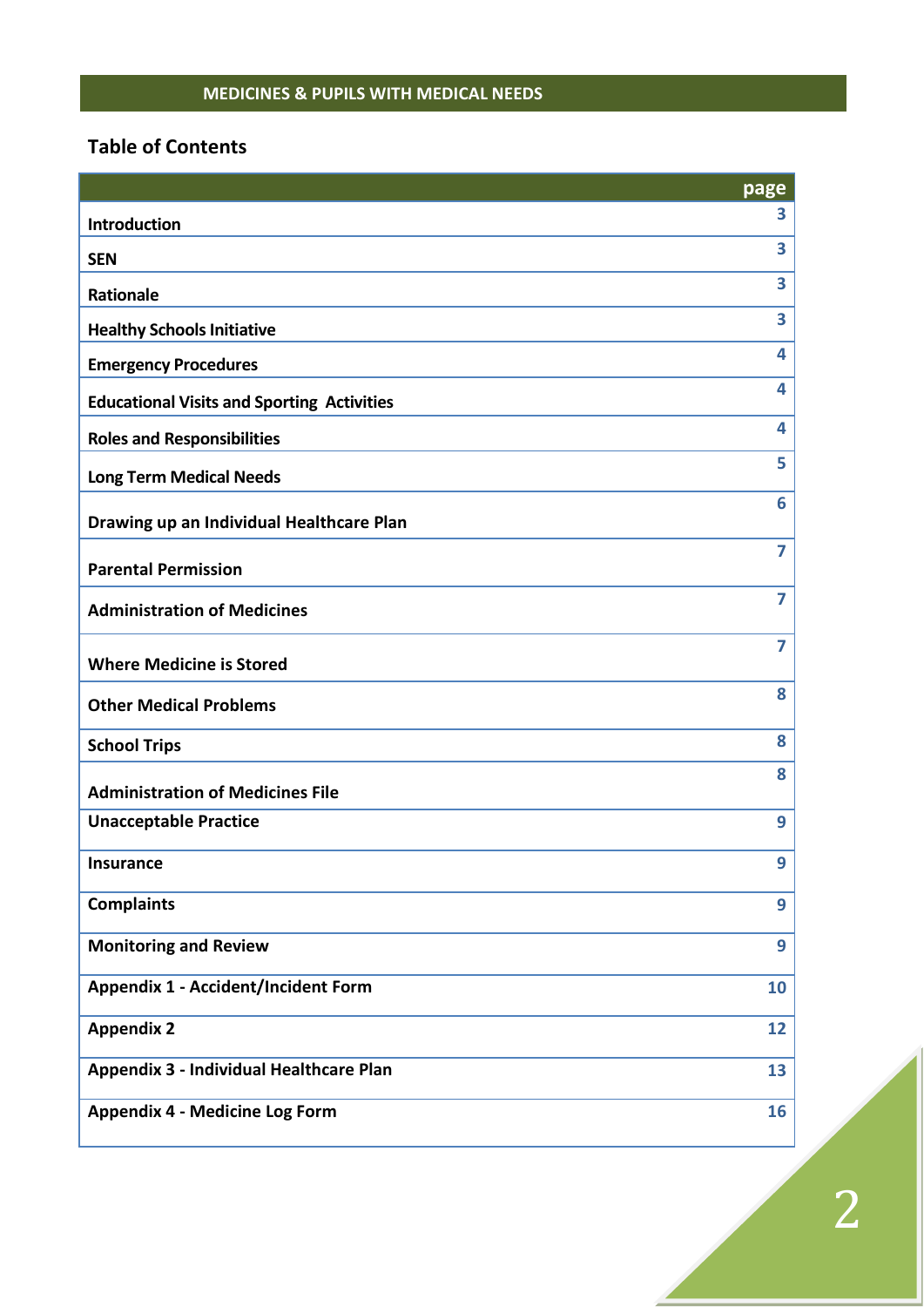# **Table of Contents**

|                                                   | page |
|---------------------------------------------------|------|
| Introduction                                      | 3    |
| <b>SEN</b>                                        | 3    |
| <b>Rationale</b>                                  | 3    |
| <b>Healthy Schools Initiative</b>                 | 3    |
| <b>Emergency Procedures</b>                       | 4    |
| <b>Educational Visits and Sporting Activities</b> | 4    |
| <b>Roles and Responsibilities</b>                 | 4    |
| <b>Long Term Medical Needs</b>                    | 5    |
| Drawing up an Individual Healthcare Plan          | 6    |
| <b>Parental Permission</b>                        | 7    |
| <b>Administration of Medicines</b>                | 7    |
| <b>Where Medicine is Stored</b>                   | 7    |
| <b>Other Medical Problems</b>                     | 8    |
| <b>School Trips</b>                               | 8    |
| <b>Administration of Medicines File</b>           | 8    |
| <b>Unacceptable Practice</b>                      | 9    |
| <b>Insurance</b>                                  | 9    |
| <b>Complaints</b>                                 | 9    |
| <b>Monitoring and Review</b>                      | 9    |
| <b>Appendix 1 - Accident/Incident Form</b>        | 10   |
| <b>Appendix 2</b>                                 | 12   |
| Appendix 3 - Individual Healthcare Plan           | 13   |
| <b>Appendix 4 - Medicine Log Form</b>             | 16   |

2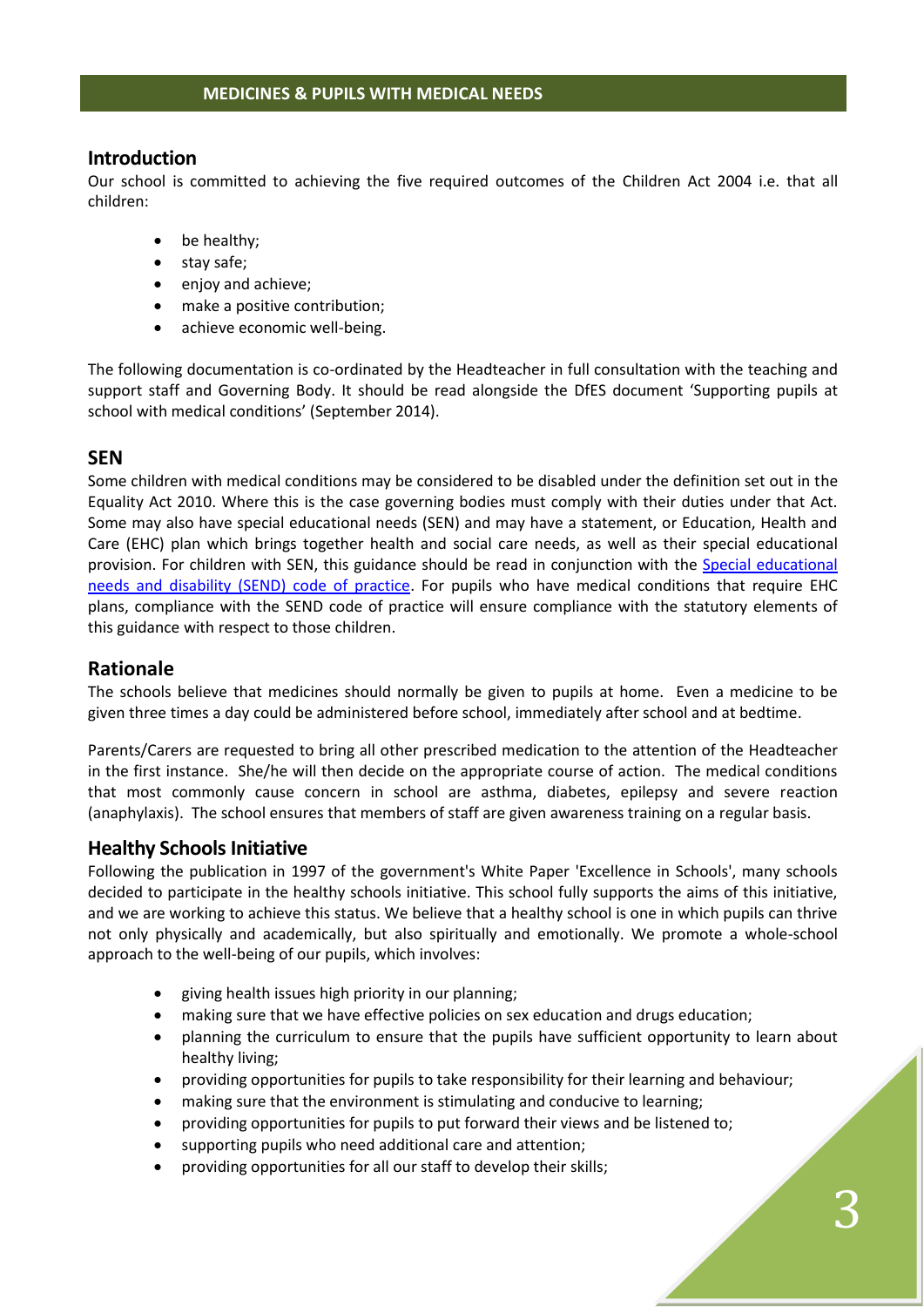#### **Introduction**

Our school is committed to achieving the five required outcomes of the Children Act 2004 i.e. that all children:

- be healthy;
- stay safe;
- enjoy and achieve;
- make a positive contribution;
- achieve economic well-being.

The following documentation is co-ordinated by the Headteacher in full consultation with the teaching and support staff and Governing Body. It should be read alongside the DfES document 'Supporting pupils at school with medical conditions' (September 2014).

## **SEN**

Some children with medical conditions may be considered to be disabled under the definition set out in the Equality Act 2010. Where this is the case governing bodies must comply with their duties under that Act. Some may also have special educational needs (SEN) and may have a statement, or Education, Health and Care (EHC) plan which brings together health and social care needs, as well as their special educational provision. For children with SEN, this guidance should be read in conjunction with the [Special educational](https://www.gov.uk/government/publications/send-code-of-practice-0-to-25)  [needs and disability \(SEND\) code of practice.](https://www.gov.uk/government/publications/send-code-of-practice-0-to-25) For pupils who have medical conditions that require EHC plans, compliance with the SEND code of practice will ensure compliance with the statutory elements of this guidance with respect to those children.

## **Rationale**

The schools believe that medicines should normally be given to pupils at home. Even a medicine to be given three times a day could be administered before school, immediately after school and at bedtime.

Parents/Carers are requested to bring all other prescribed medication to the attention of the Headteacher in the first instance. She/he will then decide on the appropriate course of action. The medical conditions that most commonly cause concern in school are asthma, diabetes, epilepsy and severe reaction (anaphylaxis). The school ensures that members of staff are given awareness training on a regular basis.

## **Healthy Schools Initiative**

Following the publication in 1997 of the government's White Paper 'Excellence in Schools', many schools decided to participate in the healthy schools initiative. This school fully supports the aims of this initiative, and we are working to achieve this status. We believe that a healthy school is one in which pupils can thrive not only physically and academically, but also spiritually and emotionally. We promote a whole-school approach to the well-being of our pupils, which involves:

- giving health issues high priority in our planning;
- making sure that we have effective policies on sex education and drugs education;
- planning the curriculum to ensure that the pupils have sufficient opportunity to learn about healthy living;
- providing opportunities for pupils to take responsibility for their learning and behaviour;
- making sure that the environment is stimulating and conducive to learning;
- providing opportunities for pupils to put forward their views and be listened to;
- supporting pupils who need additional care and attention;
- providing opportunities for all our staff to develop their skills;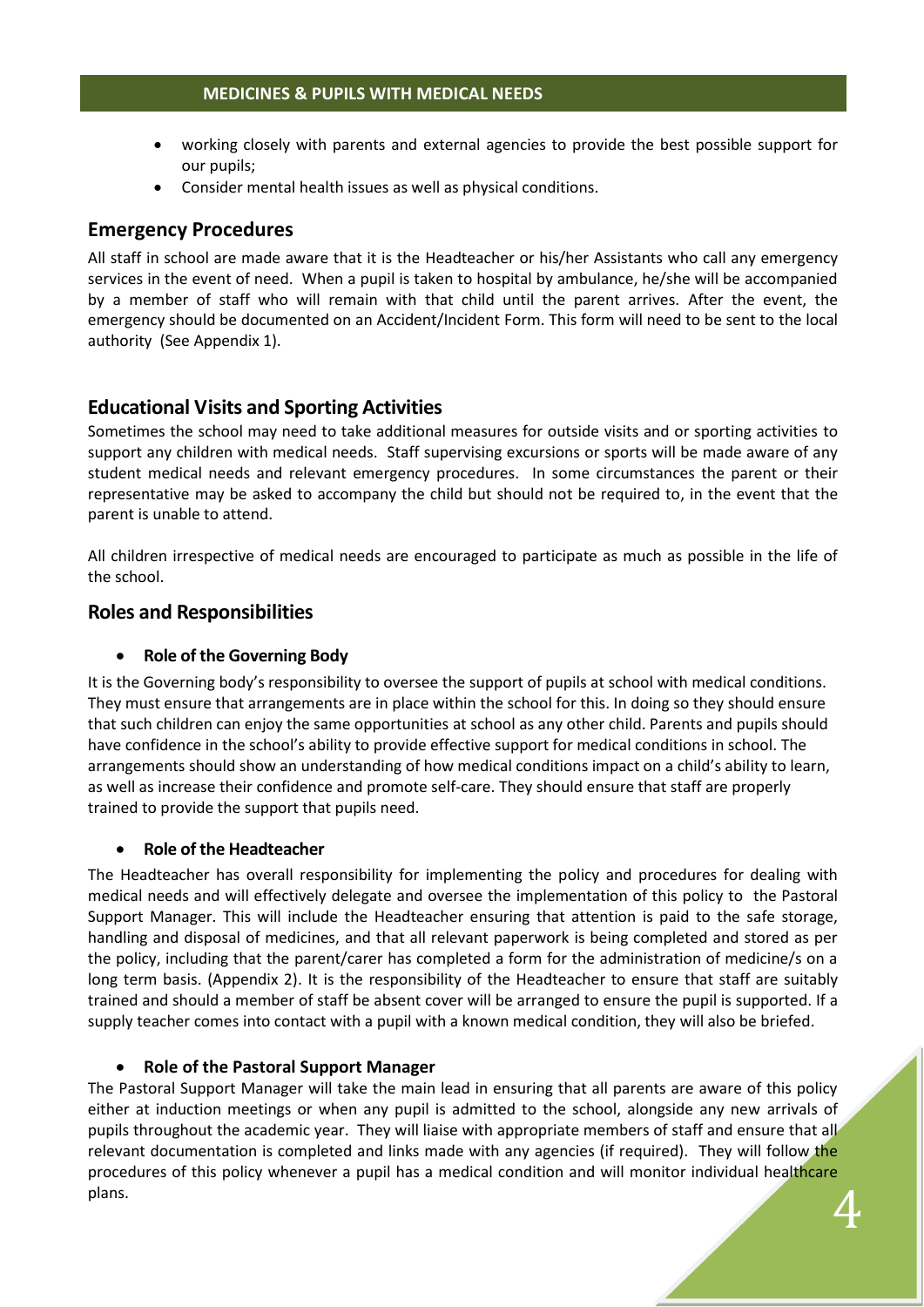- working closely with parents and external agencies to provide the best possible support for our pupils;
- Consider mental health issues as well as physical conditions.

# **Emergency Procedures**

All staff in school are made aware that it is the Headteacher or his/her Assistants who call any emergency services in the event of need. When a pupil is taken to hospital by ambulance, he/she will be accompanied by a member of staff who will remain with that child until the parent arrives. After the event, the emergency should be documented on an Accident/Incident Form. This form will need to be sent to the local authority (See Appendix 1).

# **Educational Visits and Sporting Activities**

Sometimes the school may need to take additional measures for outside visits and or sporting activities to support any children with medical needs. Staff supervising excursions or sports will be made aware of any student medical needs and relevant emergency procedures. In some circumstances the parent or their representative may be asked to accompany the child but should not be required to, in the event that the parent is unable to attend.

All children irrespective of medical needs are encouraged to participate as much as possible in the life of the school.

# **Roles and Responsibilities**

## **Role of the Governing Body**

It is the Governing body's responsibility to oversee the support of pupils at school with medical conditions. They must ensure that arrangements are in place within the school for this. In doing so they should ensure that such children can enjoy the same opportunities at school as any other child. Parents and pupils should have confidence in the school's ability to provide effective support for medical conditions in school. The arrangements should show an understanding of how medical conditions impact on a child's ability to learn, as well as increase their confidence and promote self-care. They should ensure that staff are properly trained to provide the support that pupils need.

## **Role of the Headteacher**

The Headteacher has overall responsibility for implementing the policy and procedures for dealing with medical needs and will effectively delegate and oversee the implementation of this policy to the Pastoral Support Manager. This will include the Headteacher ensuring that attention is paid to the safe storage, handling and disposal of medicines, and that all relevant paperwork is being completed and stored as per the policy, including that the parent/carer has completed a form for the administration of medicine/s on a long term basis. (Appendix 2). It is the responsibility of the Headteacher to ensure that staff are suitably trained and should a member of staff be absent cover will be arranged to ensure the pupil is supported. If a supply teacher comes into contact with a pupil with a known medical condition, they will also be briefed.

## **Role of the Pastoral Support Manager**

The Pastoral Support Manager will take the main lead in ensuring that all parents are aware of this policy either at induction meetings or when any pupil is admitted to the school, alongside any new arrivals of pupils throughout the academic year. They will liaise with appropriate members of staff and ensure that all relevant documentation is completed and links made with any agencies (if required). They will follow the procedures of this policy whenever a pupil has a medical condition and will monitor individual healthcare plans.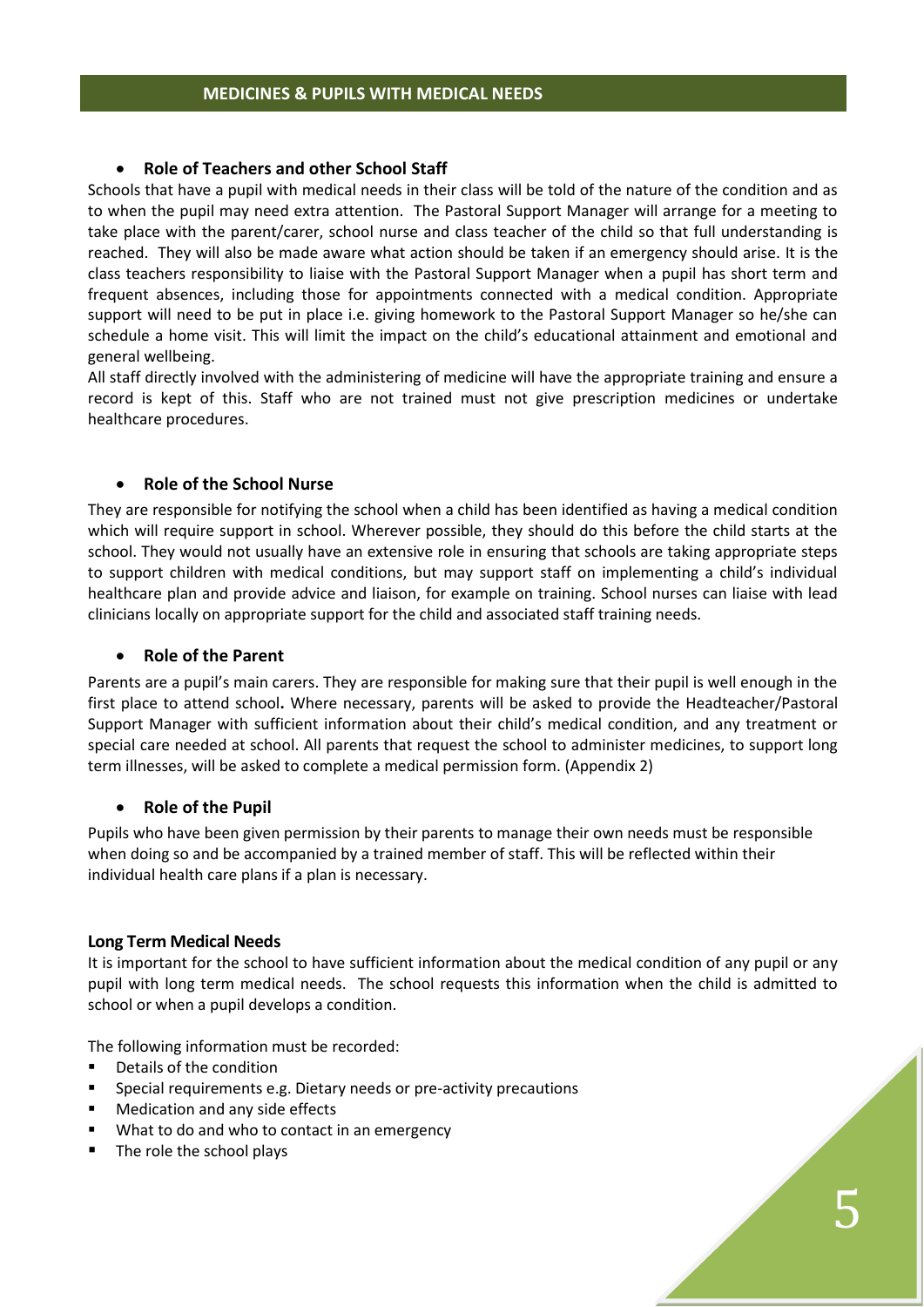#### **Role of Teachers and other School Staff**

Schools that have a pupil with medical needs in their class will be told of the nature of the condition and as to when the pupil may need extra attention. The Pastoral Support Manager will arrange for a meeting to take place with the parent/carer, school nurse and class teacher of the child so that full understanding is reached. They will also be made aware what action should be taken if an emergency should arise. It is the class teachers responsibility to liaise with the Pastoral Support Manager when a pupil has short term and frequent absences, including those for appointments connected with a medical condition. Appropriate support will need to be put in place i.e. giving homework to the Pastoral Support Manager so he/she can schedule a home visit. This will limit the impact on the child's educational attainment and emotional and general wellbeing.

All staff directly involved with the administering of medicine will have the appropriate training and ensure a record is kept of this. Staff who are not trained must not give prescription medicines or undertake healthcare procedures.

#### **Role of the School Nurse**

They are responsible for notifying the school when a child has been identified as having a medical condition which will require support in school. Wherever possible, they should do this before the child starts at the school. They would not usually have an extensive role in ensuring that schools are taking appropriate steps to support children with medical conditions, but may support staff on implementing a child's individual healthcare plan and provide advice and liaison, for example on training. School nurses can liaise with lead clinicians locally on appropriate support for the child and associated staff training needs.

#### **Role of the Parent**

Parents are a pupil's main carers. They are responsible for making sure that their pupil is well enough in the first place to attend school**.** Where necessary, parents will be asked to provide the Headteacher/Pastoral Support Manager with sufficient information about their child's medical condition, and any treatment or special care needed at school. All parents that request the school to administer medicines, to support long term illnesses, will be asked to complete a medical permission form. (Appendix 2)

#### **Role of the Pupil**

Pupils who have been given permission by their parents to manage their own needs must be responsible when doing so and be accompanied by a trained member of staff. This will be reflected within their individual health care plans if a plan is necessary.

#### **Long Term Medical Needs**

It is important for the school to have sufficient information about the medical condition of any pupil or any pupil with long term medical needs. The school requests this information when the child is admitted to school or when a pupil develops a condition.

The following information must be recorded:

- Details of the condition
- Special requirements e.g. Dietary needs or pre-activity precautions
- **Medication and any side effects**
- What to do and who to contact in an emergency
- The role the school plays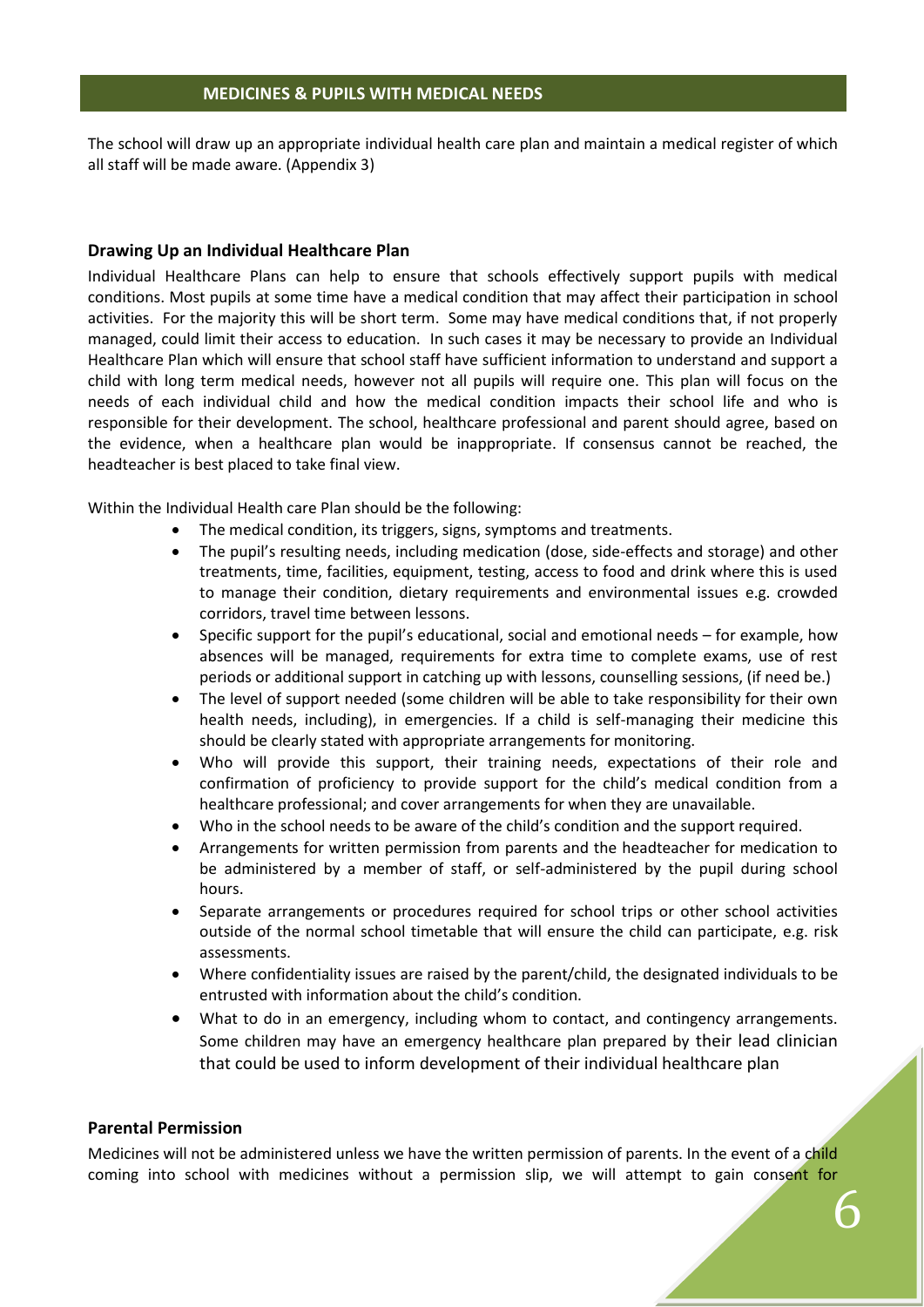The school will draw up an appropriate individual health care plan and maintain a medical register of which all staff will be made aware. (Appendix 3)

#### **Drawing Up an Individual Healthcare Plan**

Individual Healthcare Plans can help to ensure that schools effectively support pupils with medical conditions. Most pupils at some time have a medical condition that may affect their participation in school activities. For the majority this will be short term. Some may have medical conditions that, if not properly managed, could limit their access to education. In such cases it may be necessary to provide an Individual Healthcare Plan which will ensure that school staff have sufficient information to understand and support a child with long term medical needs, however not all pupils will require one. This plan will focus on the needs of each individual child and how the medical condition impacts their school life and who is responsible for their development. The school, healthcare professional and parent should agree, based on the evidence, when a healthcare plan would be inappropriate. If consensus cannot be reached, the headteacher is best placed to take final view.

Within the Individual Health care Plan should be the following:

- The medical condition, its triggers, signs, symptoms and treatments.
- The pupil's resulting needs, including medication (dose, side-effects and storage) and other treatments, time, facilities, equipment, testing, access to food and drink where this is used to manage their condition, dietary requirements and environmental issues e.g. crowded corridors, travel time between lessons.
- Specific support for the pupil's educational, social and emotional needs for example, how absences will be managed, requirements for extra time to complete exams, use of rest periods or additional support in catching up with lessons, counselling sessions, (if need be.)
- The level of support needed (some children will be able to take responsibility for their own health needs, including), in emergencies. If a child is self-managing their medicine this should be clearly stated with appropriate arrangements for monitoring.
- Who will provide this support, their training needs, expectations of their role and confirmation of proficiency to provide support for the child's medical condition from a healthcare professional; and cover arrangements for when they are unavailable.
- Who in the school needs to be aware of the child's condition and the support required.
- Arrangements for written permission from parents and the headteacher for medication to be administered by a member of staff, or self-administered by the pupil during school hours.
- Separate arrangements or procedures required for school trips or other school activities outside of the normal school timetable that will ensure the child can participate, e.g. risk assessments.
- Where confidentiality issues are raised by the parent/child, the designated individuals to be entrusted with information about the child's condition.
- What to do in an emergency, including whom to contact, and contingency arrangements. Some children may have an emergency healthcare plan prepared by their lead clinician that could be used to inform development of their individual healthcare plan

#### **Parental Permission**

Medicines will not be administered unless we have the written permission of parents. In the event of a child coming into school with medicines without a permission slip, we will attempt to gain consent for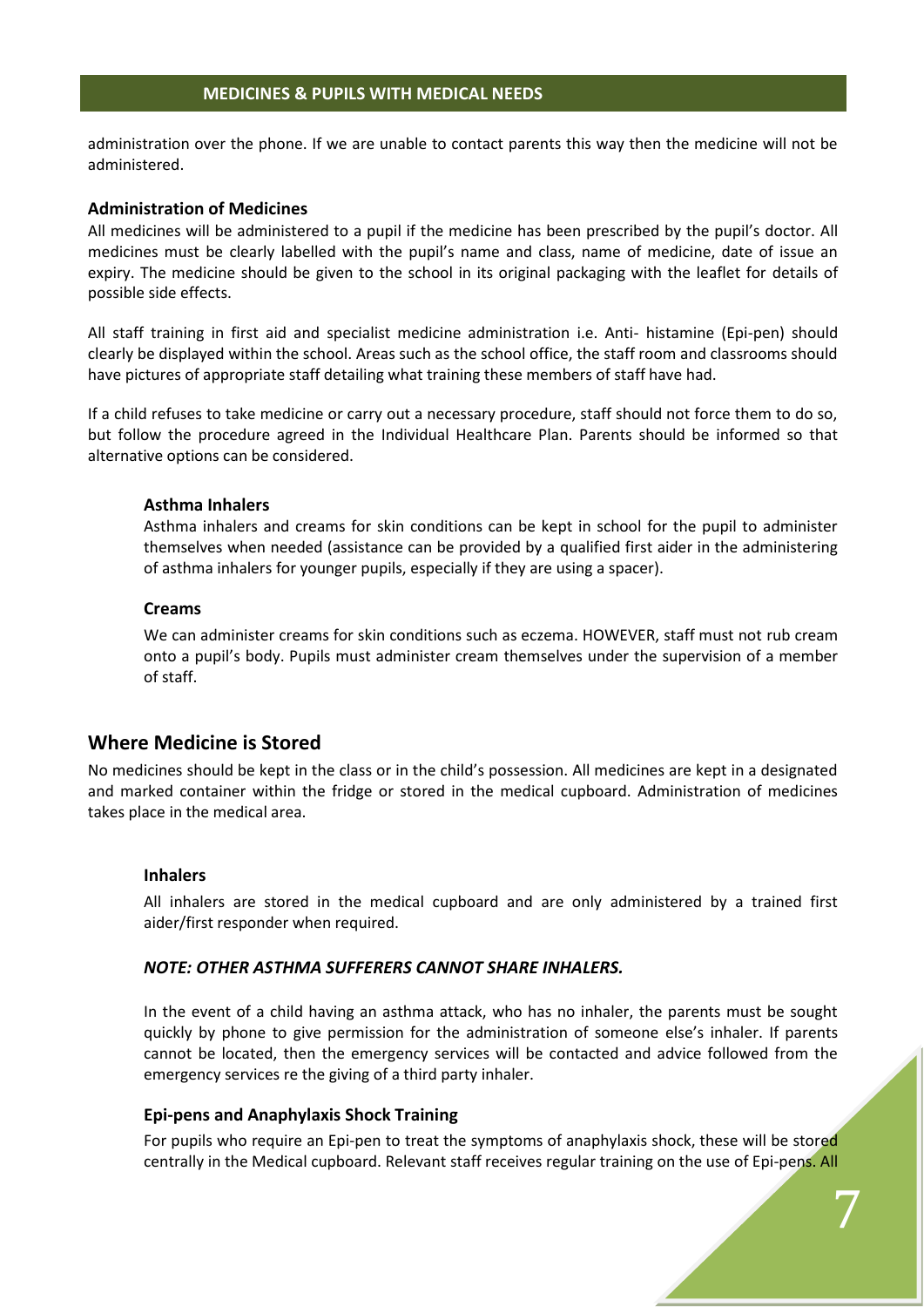administration over the phone. If we are unable to contact parents this way then the medicine will not be administered.

#### **Administration of Medicines**

All medicines will be administered to a pupil if the medicine has been prescribed by the pupil's doctor. All medicines must be clearly labelled with the pupil's name and class, name of medicine, date of issue an expiry. The medicine should be given to the school in its original packaging with the leaflet for details of possible side effects.

All staff training in first aid and specialist medicine administration i.e. Anti- histamine (Epi-pen) should clearly be displayed within the school. Areas such as the school office, the staff room and classrooms should have pictures of appropriate staff detailing what training these members of staff have had.

If a child refuses to take medicine or carry out a necessary procedure, staff should not force them to do so, but follow the procedure agreed in the Individual Healthcare Plan. Parents should be informed so that alternative options can be considered.

#### **Asthma Inhalers**

Asthma inhalers and creams for skin conditions can be kept in school for the pupil to administer themselves when needed (assistance can be provided by a qualified first aider in the administering of asthma inhalers for younger pupils, especially if they are using a spacer).

#### **Creams**

We can administer creams for skin conditions such as eczema. HOWEVER, staff must not rub cream onto a pupil's body. Pupils must administer cream themselves under the supervision of a member of staff.

# **Where Medicine is Stored**

No medicines should be kept in the class or in the child's possession. All medicines are kept in a designated and marked container within the fridge or stored in the medical cupboard. Administration of medicines takes place in the medical area.

#### **Inhalers**

All inhalers are stored in the medical cupboard and are only administered by a trained first aider/first responder when required.

#### *NOTE: OTHER ASTHMA SUFFERERS CANNOT SHARE INHALERS.*

In the event of a child having an asthma attack, who has no inhaler, the parents must be sought quickly by phone to give permission for the administration of someone else's inhaler. If parents cannot be located, then the emergency services will be contacted and advice followed from the emergency services re the giving of a third party inhaler.

#### **Epi-pens and Anaphylaxis Shock Training**

For pupils who require an Epi-pen to treat the symptoms of anaphylaxis shock, these will be stored centrally in the Medical cupboard. Relevant staff receives regular training on the use of Epi-pens. All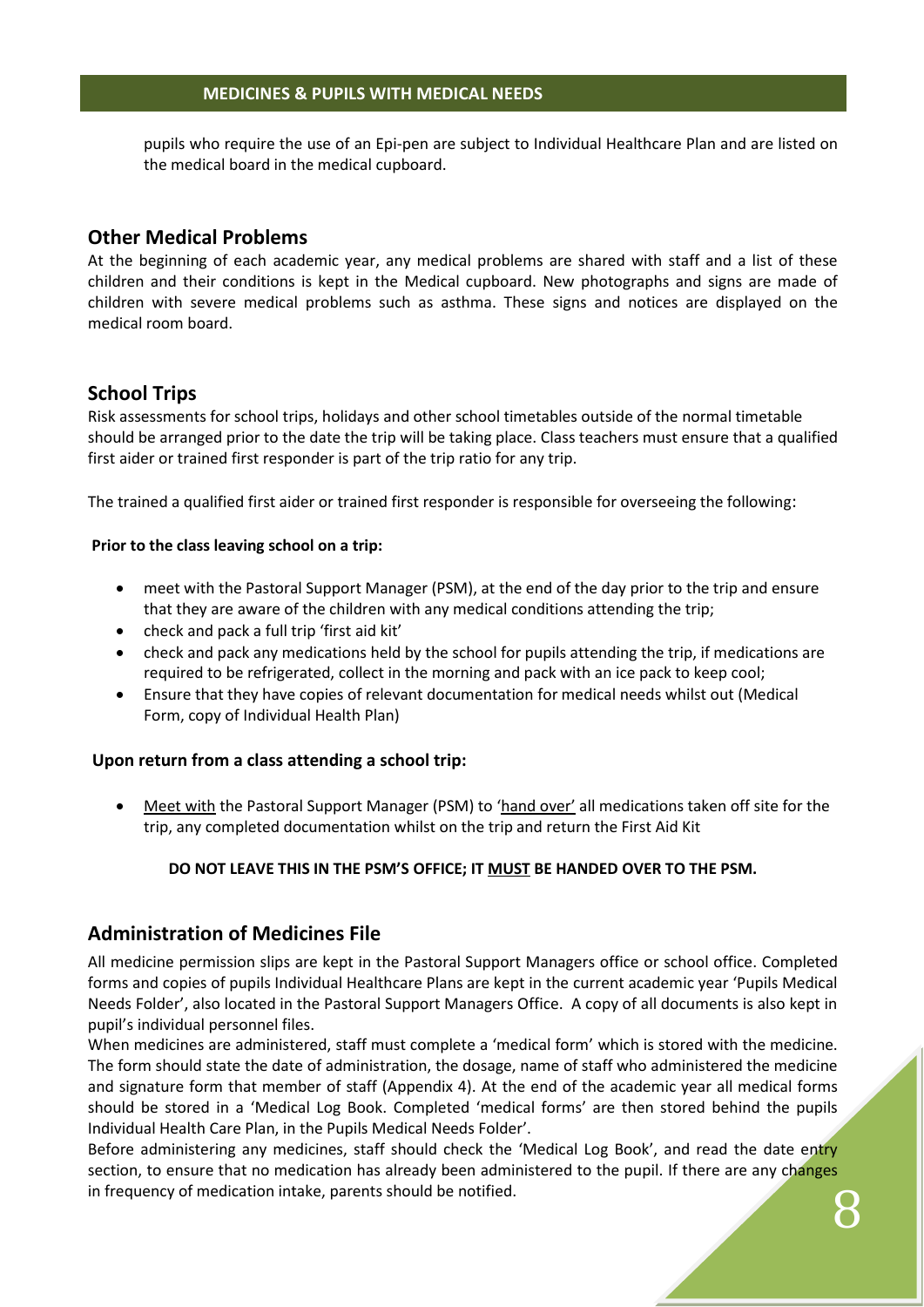pupils who require the use of an Epi-pen are subject to Individual Healthcare Plan and are listed on the medical board in the medical cupboard.

## **Other Medical Problems**

At the beginning of each academic year, any medical problems are shared with staff and a list of these children and their conditions is kept in the Medical cupboard. New photographs and signs are made of children with severe medical problems such as asthma. These signs and notices are displayed on the medical room board.

#### **School Trips**

Risk assessments for school trips, holidays and other school timetables outside of the normal timetable should be arranged prior to the date the trip will be taking place. Class teachers must ensure that a qualified first aider or trained first responder is part of the trip ratio for any trip.

The trained a qualified first aider or trained first responder is responsible for overseeing the following:

#### **Prior to the class leaving school on a trip:**

- meet with the Pastoral Support Manager (PSM), at the end of the day prior to the trip and ensure that they are aware of the children with any medical conditions attending the trip;
- check and pack a full trip 'first aid kit'
- check and pack any medications held by the school for pupils attending the trip, if medications are required to be refrigerated, collect in the morning and pack with an ice pack to keep cool;
- Ensure that they have copies of relevant documentation for medical needs whilst out (Medical Form, copy of Individual Health Plan)

#### **Upon return from a class attending a school trip:**

 Meet with the Pastoral Support Manager (PSM) to 'hand over' all medications taken off site for the trip, any completed documentation whilst on the trip and return the First Aid Kit

#### **DO NOT LEAVE THIS IN THE PSM'S OFFICE; IT MUST BE HANDED OVER TO THE PSM.**

## **Administration of Medicines File**

All medicine permission slips are kept in the Pastoral Support Managers office or school office. Completed forms and copies of pupils Individual Healthcare Plans are kept in the current academic year 'Pupils Medical Needs Folder', also located in the Pastoral Support Managers Office. A copy of all documents is also kept in pupil's individual personnel files.

When medicines are administered, staff must complete a 'medical form' which is stored with the medicine. The form should state the date of administration, the dosage, name of staff who administered the medicine and signature form that member of staff (Appendix 4). At the end of the academic year all medical forms should be stored in a 'Medical Log Book. Completed 'medical forms' are then stored behind the pupils Individual Health Care Plan, in the Pupils Medical Needs Folder'.

Before administering any medicines, staff should check the 'Medical Log Book', and read the date entry section, to ensure that no medication has already been administered to the pupil. If there are any changes in frequency of medication intake, parents should be notified.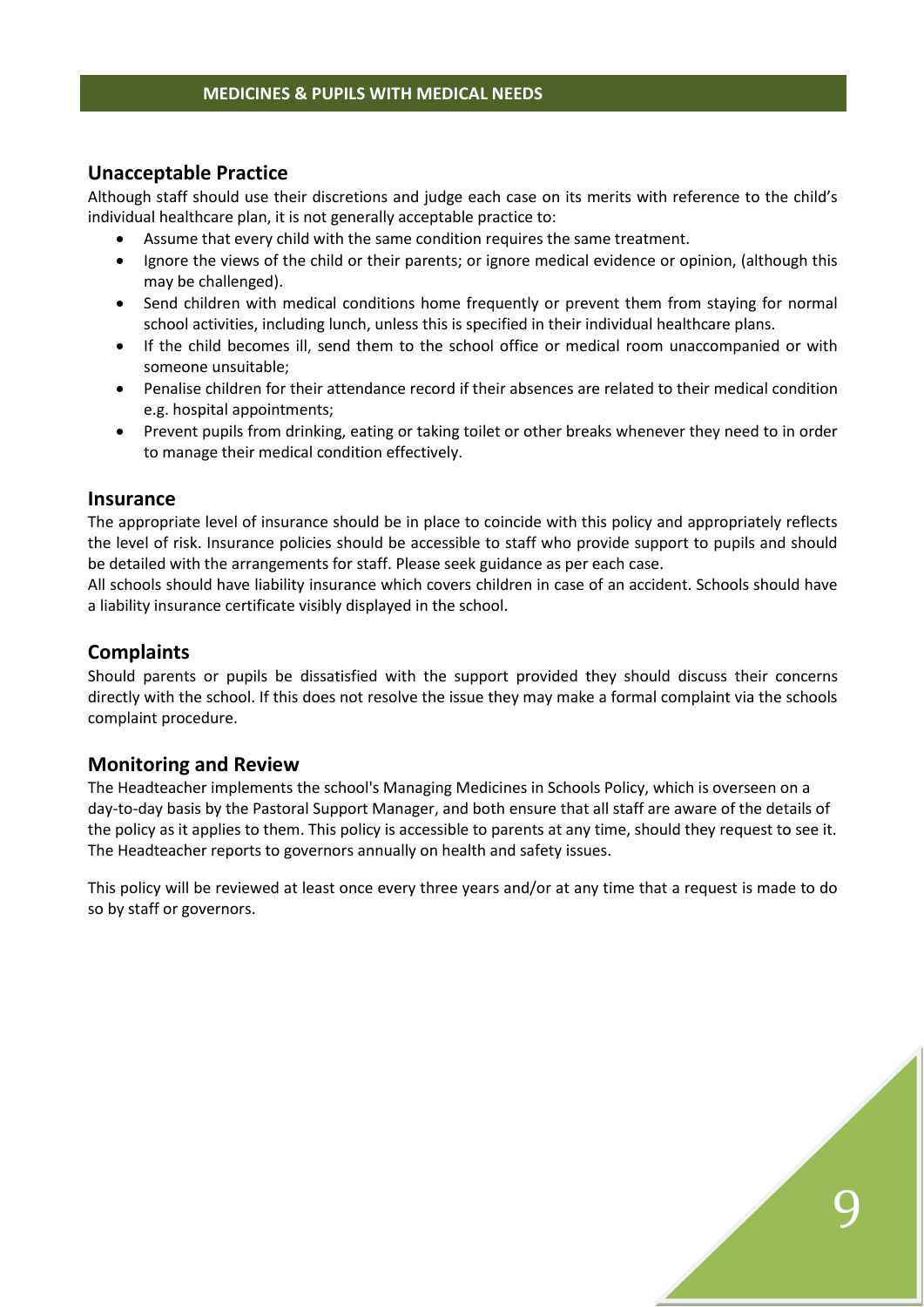# **Unacceptable Practice**

Although staff should use their discretions and judge each case on its merits with reference to the child's individual healthcare plan, it is not generally acceptable practice to:

- Assume that every child with the same condition requires the same treatment.
- Ignore the views of the child or their parents; or ignore medical evidence or opinion, (although this may be challenged).
- Send children with medical conditions home frequently or prevent them from staying for normal school activities, including lunch, unless this is specified in their individual healthcare plans.
- If the child becomes ill, send them to the school office or medical room unaccompanied or with someone unsuitable;
- Penalise children for their attendance record if their absences are related to their medical condition e.g. hospital appointments;
- Prevent pupils from drinking, eating or taking toilet or other breaks whenever they need to in order to manage their medical condition effectively.

## **Insurance**

The appropriate level of insurance should be in place to coincide with this policy and appropriately reflects the level of risk. Insurance policies should be accessible to staff who provide support to pupils and should be detailed with the arrangements for staff. Please seek guidance as per each case.

All schools should have liability insurance which covers children in case of an accident. Schools should have a liability insurance certificate visibly displayed in the school.

# **Complaints**

Should parents or pupils be dissatisfied with the support provided they should discuss their concerns directly with the school. If this does not resolve the issue they may make a formal complaint via the schools complaint procedure.

## **Monitoring and Review**

The Headteacher implements the school's Managing Medicines in Schools Policy, which is overseen on a day-to-day basis by the Pastoral Support Manager, and both ensure that all staff are aware of the details of the policy as it applies to them. This policy is accessible to parents at any time, should they request to see it. The Headteacher reports to governors annually on health and safety issues.

This policy will be reviewed at least once every three years and/or at any time that a request is made to do so by staff or governors.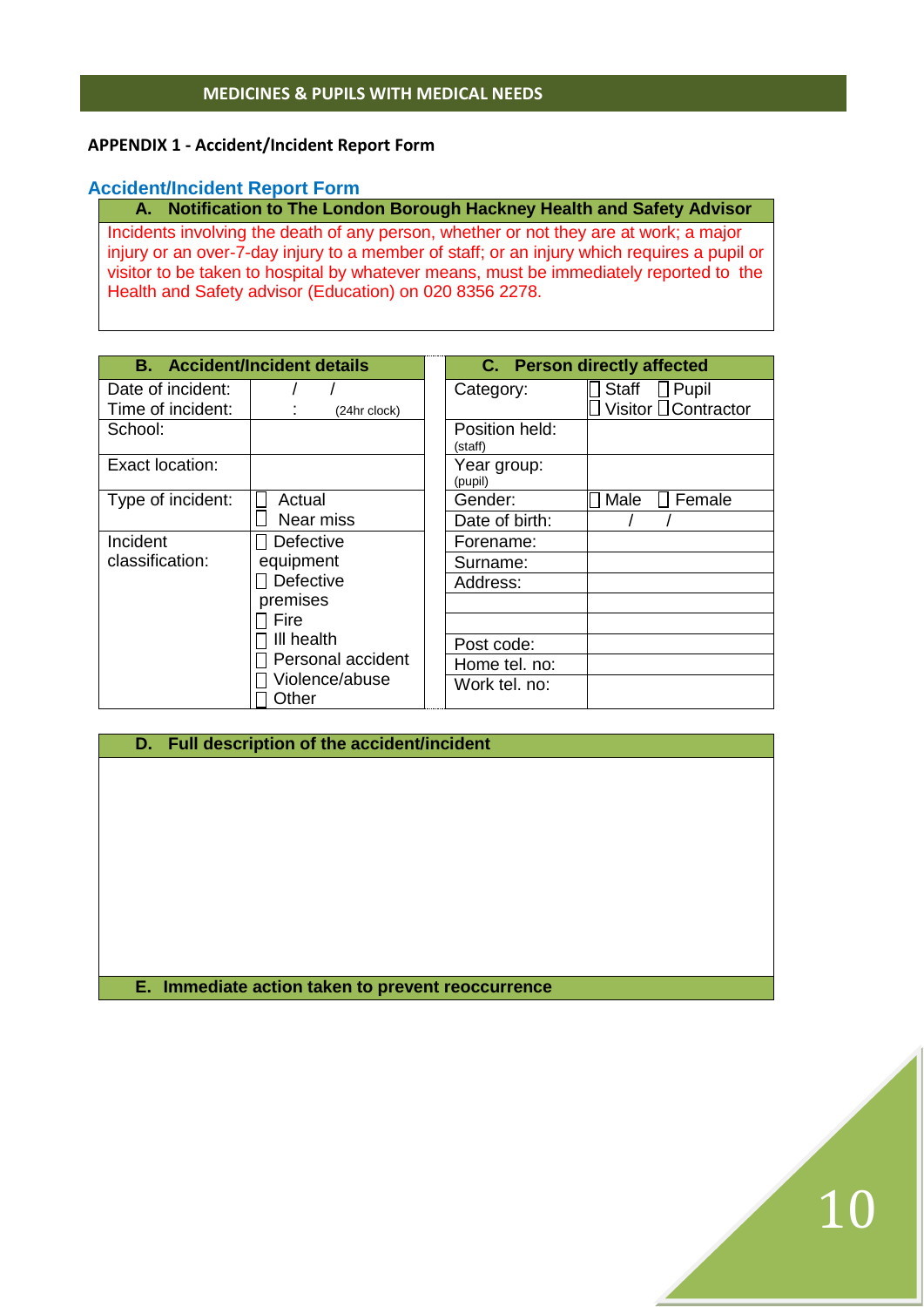#### **APPENDIX 1 - Accident/Incident Report Form**

#### **Accident/Incident Report Form**

**A. Notification to The London Borough Hackney Health and Safety Advisor**  Incidents involving the death of any person, whether or not they are at work; a major injury or an over-7-day injury to a member of staff; or an injury which requires a pupil or visitor to be taken to hospital by whatever means, must be immediately reported to the Health and Safety advisor (Education) on 020 8356 2278.

|                                        | <b>B.</b> Accident/Incident details | <b>C.</b> Person directly affected                           |  |
|----------------------------------------|-------------------------------------|--------------------------------------------------------------|--|
| Date of incident:<br>Time of incident: | (24hr clock)                        | Staff $\Box$ Pupil<br>Category:<br>Visitor <i>Contractor</i> |  |
| School:                                |                                     | Position held:<br>(staff)                                    |  |
| Exact location:                        |                                     | Year group:<br>(pupil)                                       |  |
| Type of incident:                      | Actual                              | Male<br>Female<br>Gender:                                    |  |
|                                        | Near miss                           | Date of birth:                                               |  |
| Incident                               | Defective                           | Forename:                                                    |  |
| classification:                        | equipment                           | Surname:                                                     |  |
|                                        | $\sqcap$ Defective                  | Address:                                                     |  |
|                                        | premises                            |                                                              |  |
|                                        | Fire                                |                                                              |  |
|                                        | III health                          | Post code:                                                   |  |
|                                        | Personal accident                   | Home tel. no:                                                |  |
|                                        | Violence/abuse<br>Other             | Work tel. no:                                                |  |

| D. Full description of the accident/incident      |
|---------------------------------------------------|
|                                                   |
|                                                   |
|                                                   |
|                                                   |
|                                                   |
|                                                   |
|                                                   |
|                                                   |
|                                                   |
| E. Immediate action taken to prevent reoccurrence |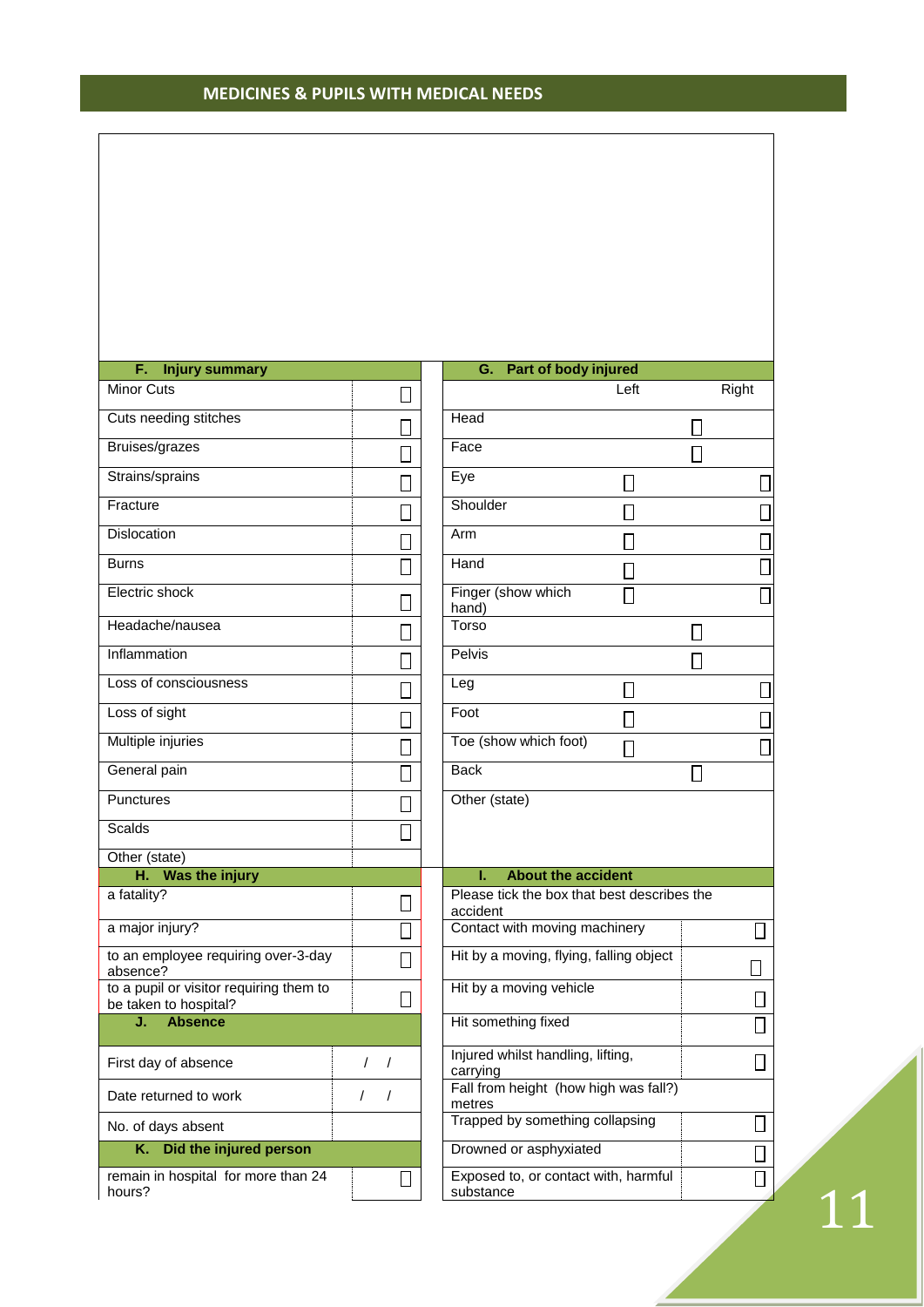| Е.<br><b>Injury summary</b>                                      |                          | Part of body injured<br>G.                              |
|------------------------------------------------------------------|--------------------------|---------------------------------------------------------|
| <b>Minor Cuts</b>                                                | $\Box$                   | Right<br>Left                                           |
| Cuts needing stitches                                            |                          | Head                                                    |
| Bruises/grazes                                                   | Г                        | Face                                                    |
| Strains/sprains                                                  | Г                        | Eye<br>L                                                |
| Fracture                                                         |                          | Shoulder<br>П                                           |
| Dislocation                                                      |                          | Arm<br>$\mathsf{L}$                                     |
| Burns                                                            | Г                        | Hand                                                    |
| Electric shock                                                   | $\overline{\phantom{a}}$ | Finger (show which<br>Г<br>hand)                        |
| Headache/nausea                                                  | П                        | Torso<br>$\mathsf{L}$                                   |
| Inflammation                                                     |                          | Pelvis<br>П                                             |
| Loss of consciousness                                            | $\mathbb{R}^n$           | Leg<br>П                                                |
| Loss of sight                                                    |                          | Foot<br>Γ                                               |
| Multiple injuries                                                | Γ                        | Toe (show which foot)<br>$\Box$                         |
| General pain                                                     | Γ                        | <b>Back</b><br>$\Box$                                   |
| Punctures                                                        |                          | Other (state)                                           |
| <b>Scalds</b>                                                    | П                        |                                                         |
| Other (state)                                                    |                          |                                                         |
| н. -<br>Was the injury                                           |                          | <b>About the accident</b><br>L                          |
| a fatality?                                                      |                          | Please tick the box that best describes the<br>accident |
| a major injury?                                                  | Г                        | Contact with moving machinery                           |
| to an employee requiring over-3-day<br>absence?                  | $\Box$                   | Hit by a moving, flying, falling object                 |
| to a pupil or visitor requiring them to<br>be taken to hospital? |                          | Hit by a moving vehicle                                 |
| <b>Absence</b><br>J.                                             |                          | Hit something fixed                                     |
| First day of absence                                             | $\sqrt{2}$<br>$\prime$   | Injured whilst handling, lifting,<br>carrying           |
| Date returned to work                                            | $\prime$<br>$\sqrt{2}$   | Fall from height (how high was fall?)<br>metres         |
| No. of days absent                                               |                          | Trapped by something collapsing                         |
| K. Did the injured person                                        |                          | Drowned or asphyxiated                                  |
| remain in hospital for more than 24<br>hours?                    | $\Box$                   | Exposed to, or contact with, harmful<br>substance       |

| Part of body injured<br>G.                                  |      |       |  |
|-------------------------------------------------------------|------|-------|--|
|                                                             | Left | Right |  |
| Head                                                        |      |       |  |
| Face                                                        |      |       |  |
| Eye                                                         |      |       |  |
| Shoulder                                                    |      |       |  |
| Arm                                                         |      |       |  |
| Hand                                                        |      |       |  |
| Finger (show which<br>hand)                                 |      |       |  |
| Torso                                                       |      |       |  |
| Pelvis                                                      |      |       |  |
| Leg                                                         |      |       |  |
| Foot                                                        |      |       |  |
| Toe (show which foot)                                       |      |       |  |
| <b>Back</b>                                                 |      |       |  |
| Other (state)                                               |      |       |  |
| <b>About the accident</b><br>I.                             |      |       |  |
| Please tick the box that best describes the<br>accident     |      |       |  |
| Contact with moving machinery                               |      |       |  |
| Hit by a moving, flying, falling object                     |      |       |  |
| Hit by a moving vehicle                                     |      |       |  |
| Hit something fixed                                         |      |       |  |
| Injured whilst handling, lifting,                           |      |       |  |
| carrying<br>Fall from height (how high was fall?)<br>metres |      |       |  |
| Trapped by something collapsing                             |      |       |  |
| Drowned or asphyxiated                                      |      |       |  |
| Exposed to, or contact with, harmful<br>substance           |      |       |  |

11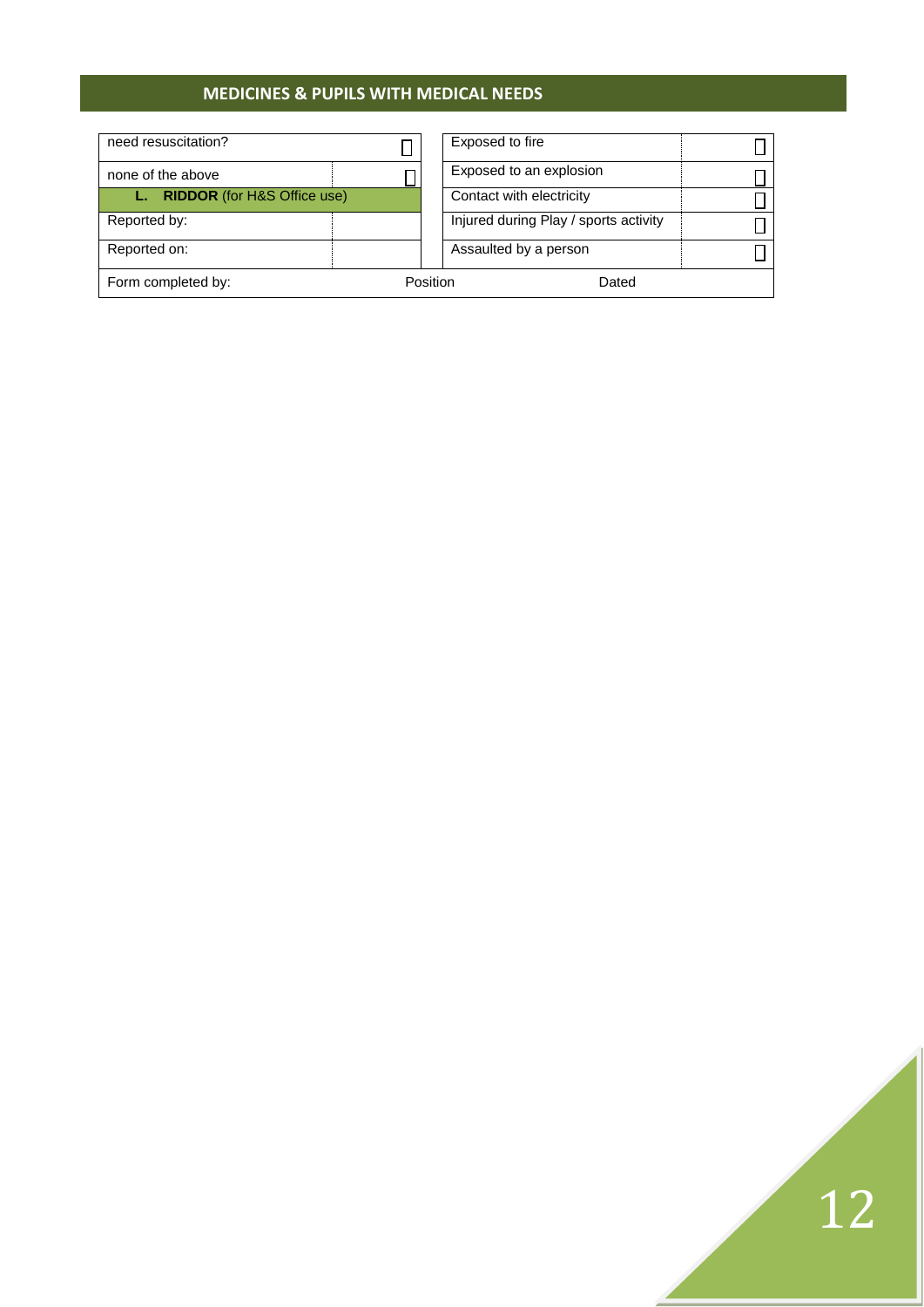| need resuscitation?                | Exposed to fire                       |  |
|------------------------------------|---------------------------------------|--|
| none of the above                  | Exposed to an explosion               |  |
| <b>RIDDOR</b> (for H&S Office use) | Contact with electricity              |  |
| Reported by:                       | Injured during Play / sports activity |  |
| Reported on:                       | Assaulted by a person                 |  |
| Form completed by:                 | Position<br>Dated                     |  |

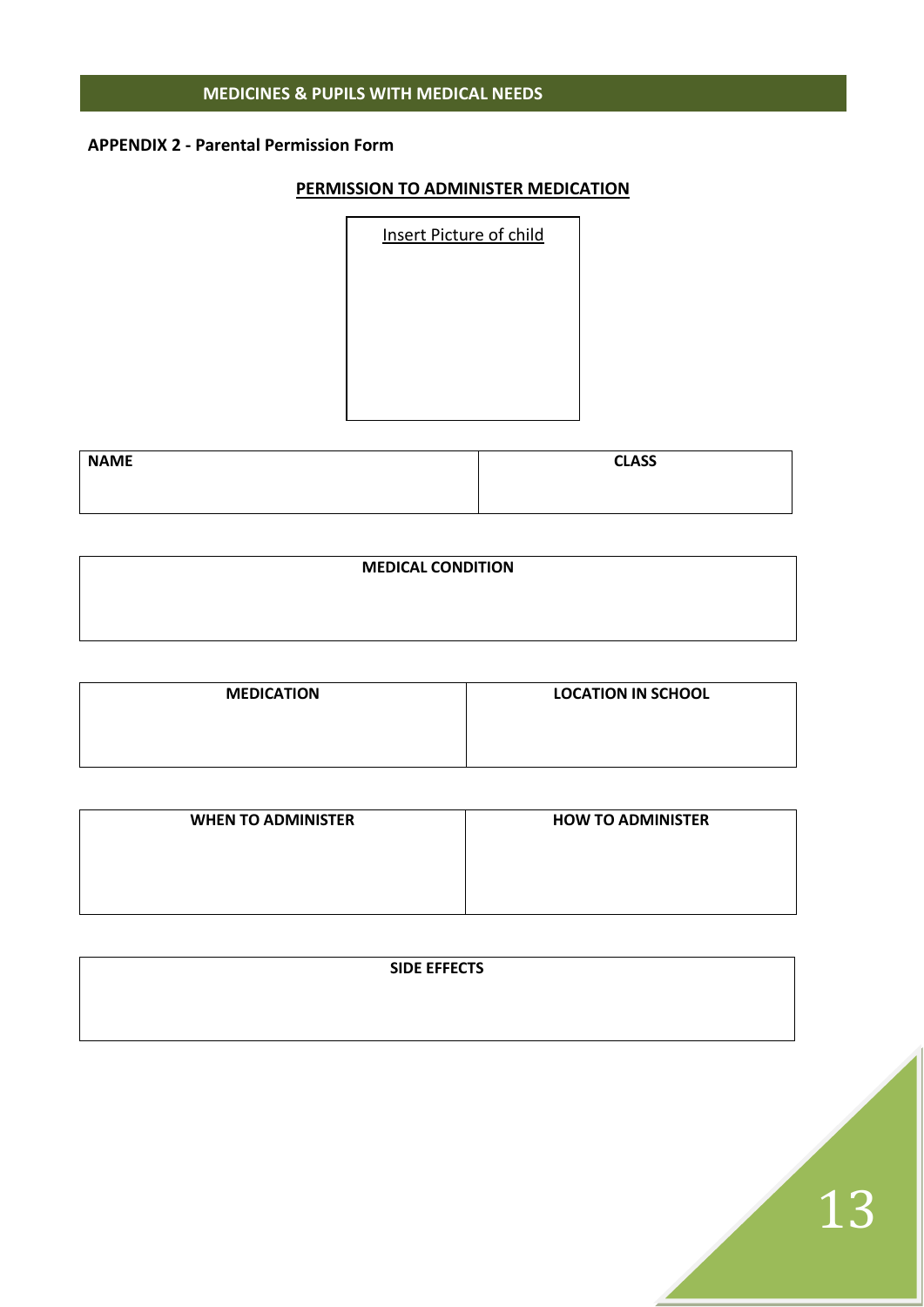# **APPENDIX 2 - Parental Permission Form**

# **PERMISSION TO ADMINISTER MEDICATION**

Insert Picture of child

| <b>NAME</b> | <b>CLASS</b> |
|-------------|--------------|
|             |              |
|             |              |

| <b>MEDICAL CONDITION</b> |  |
|--------------------------|--|
|                          |  |
|                          |  |

| <b>MEDICATION</b> | <b>LOCATION IN SCHOOL</b> |
|-------------------|---------------------------|
|                   |                           |
|                   |                           |

| <b>WHEN TO ADMINISTER</b> | <b>HOW TO ADMINISTER</b> |
|---------------------------|--------------------------|
|                           |                          |
|                           |                          |
|                           |                          |
|                           |                          |
|                           |                          |
|                           |                          |

|  | <b>SIDE EFFECTS</b> |  |
|--|---------------------|--|
|  |                     |  |
|  |                     |  |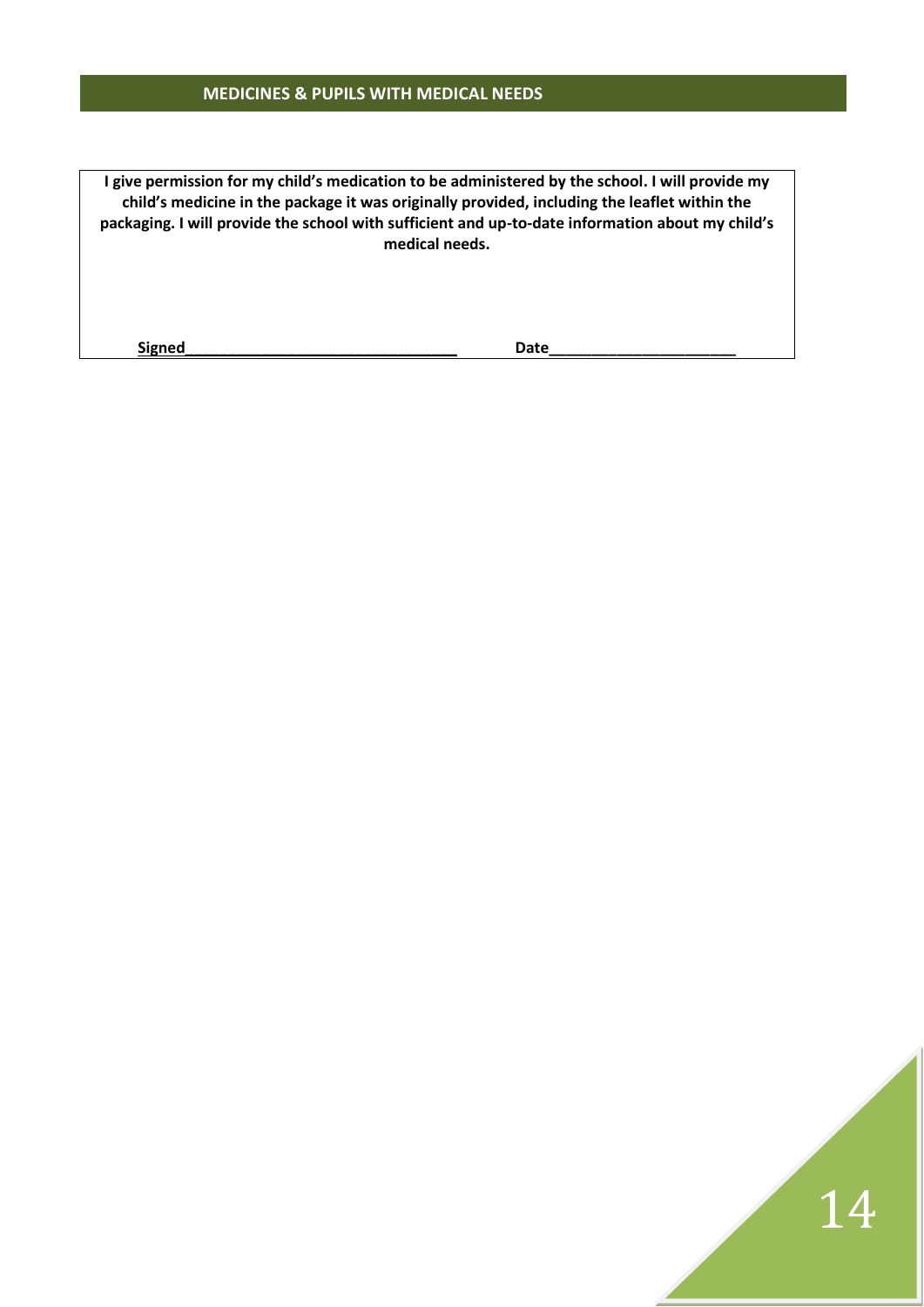**I give permission for my child's medication to be administered by the school. I will provide my child's medicine in the package it was originally provided, including the leaflet within the packaging. I will provide the school with sufficient and up-to-date information about my child's medical needs.** 

**Signed\_\_\_\_\_\_\_\_\_\_\_\_\_\_\_\_\_\_\_\_\_\_\_\_\_\_\_\_\_\_\_\_ Date\_\_\_\_\_\_\_\_\_\_\_\_\_\_\_\_\_\_\_\_\_\_**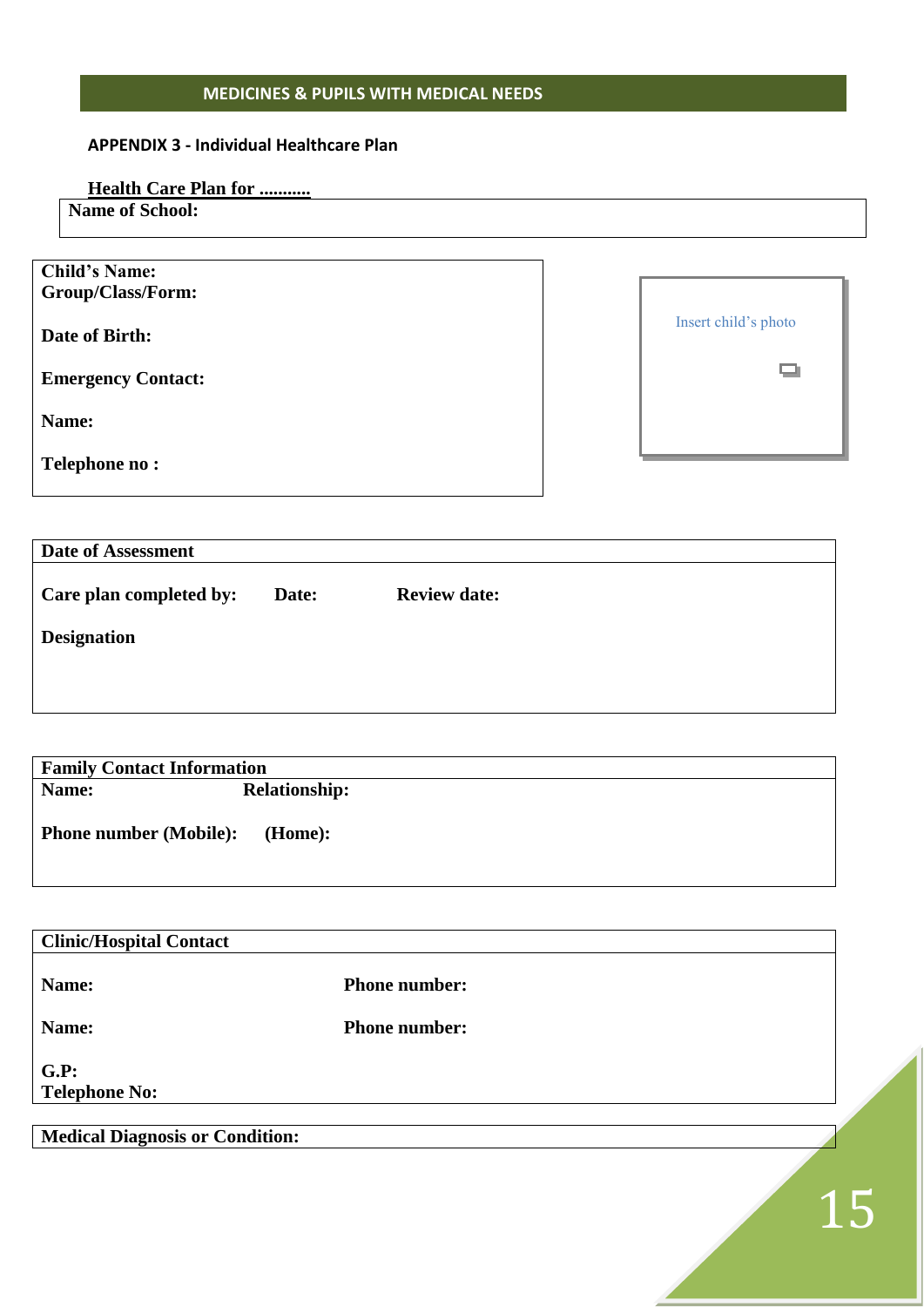# **APPENDIX 3 - Individual Healthcare Plan**

# **Health Care Plan for ...........**

**Name of School:** 

**Child's Name: Group/Class/Form:** 

**Date of Birth:** 

**Emergency Contact:** 

**Name:** 

**Telephone no :** 

| Insert child's photo |
|----------------------|
|                      |
|                      |

| Date of Assessment      |       |                     |
|-------------------------|-------|---------------------|
| Care plan completed by: | Date: | <b>Review date:</b> |
| <b>Designation</b>      |       |                     |
|                         |       |                     |
|                         |       |                     |

| <b>Family Contact Information</b>        |                      |  |
|------------------------------------------|----------------------|--|
| Name:                                    | <b>Relationship:</b> |  |
|                                          |                      |  |
| <b>Phone number (Mobile):</b><br>(Home): |                      |  |
|                                          |                      |  |
|                                          |                      |  |

| <b>Clinic/Hospital Contact</b>         |                      |  |
|----------------------------------------|----------------------|--|
| Name:                                  | <b>Phone number:</b> |  |
| Name:                                  | <b>Phone number:</b> |  |
| G.P:<br><b>Telephone No:</b>           |                      |  |
|                                        |                      |  |
| <b>Medical Diagnosis or Condition:</b> |                      |  |
|                                        |                      |  |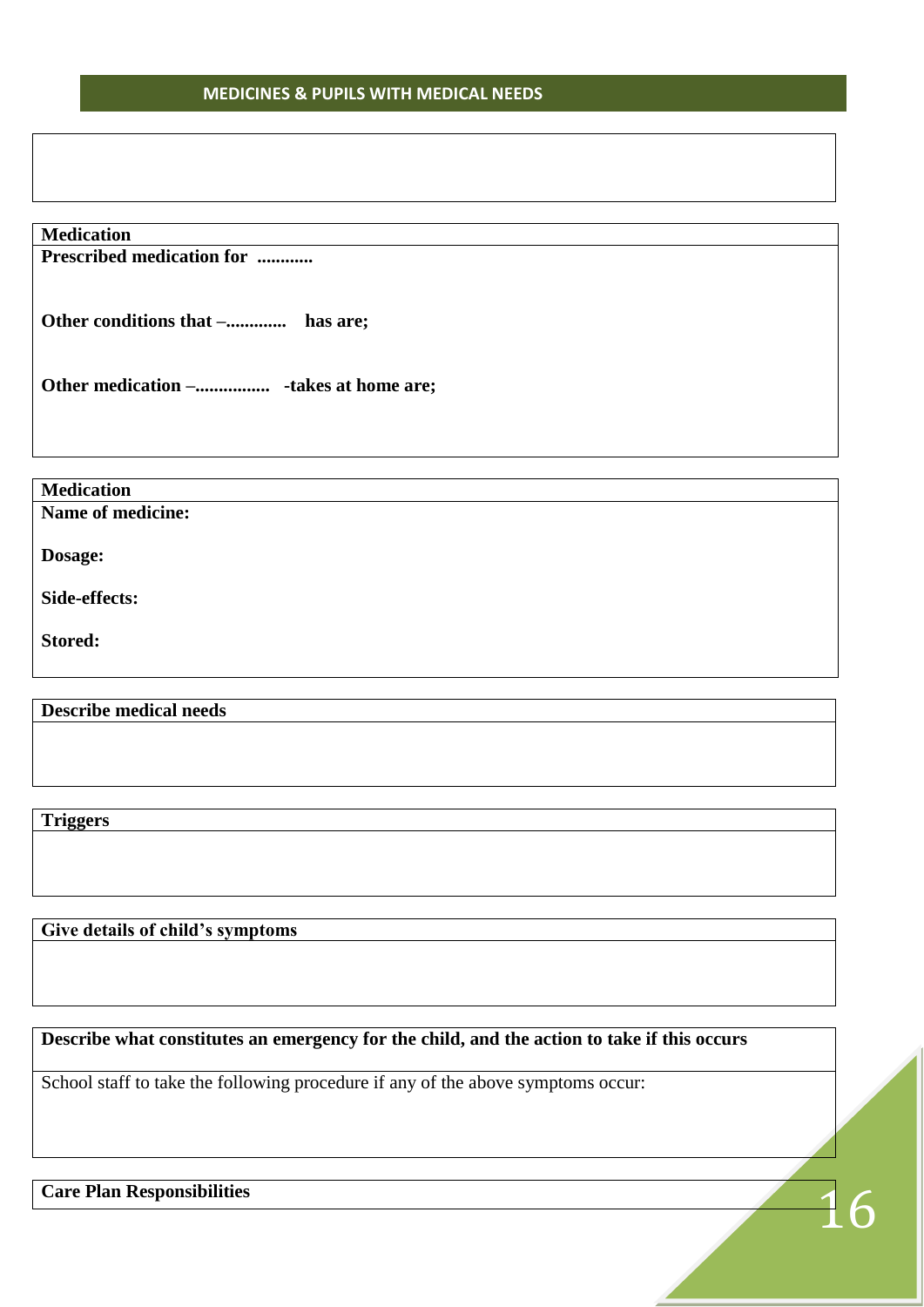**Medication**

**Prescribed medication for ............**

**Other conditions that –............. has are;**

**Other medication –................ -takes at home are;**

**Medication**

**Name of medicine:**

**Dosage:**

**Side-effects:**

**Stored:**

**Describe medical needs**

**Triggers**

**Give details of child's symptoms**

**Describe what constitutes an emergency for the child, and the action to take if this occurs**

16

School staff to take the following procedure if any of the above symptoms occur:

**Care Plan Responsibilities**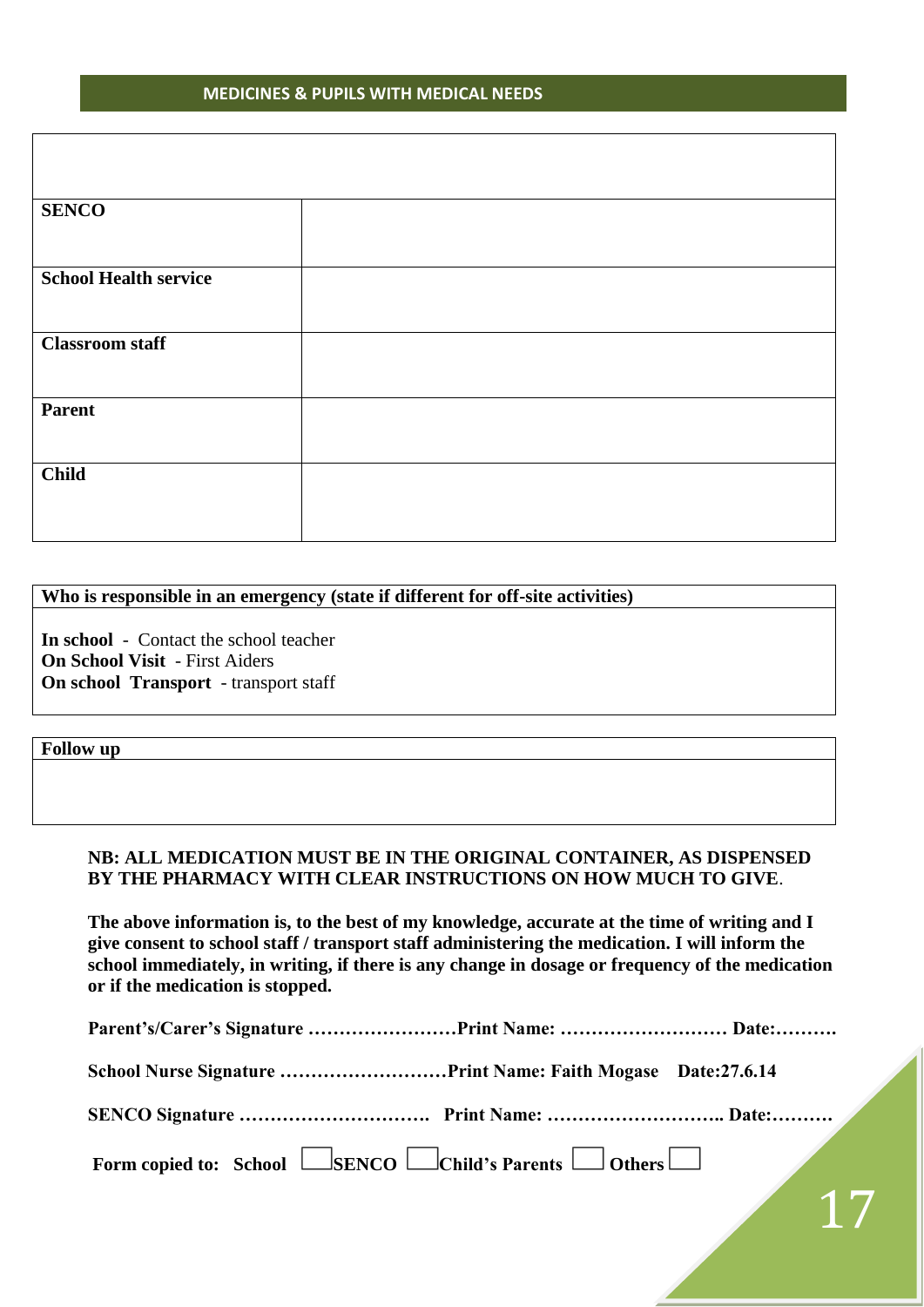| <b>SENCO</b>                 |  |
|------------------------------|--|
|                              |  |
| <b>School Health service</b> |  |
| <b>Classroom staff</b>       |  |
| <b>Parent</b>                |  |
| <b>Child</b>                 |  |

#### **Who is responsible in an emergency (state if different for off-site activities)**

**In school** - Contact the school teacher **On School Visit** - First Aiders **On school Transport** - transport staff

**Follow up**

# **NB: ALL MEDICATION MUST BE IN THE ORIGINAL CONTAINER, AS DISPENSED BY THE PHARMACY WITH CLEAR INSTRUCTIONS ON HOW MUCH TO GIVE**.

**The above information is, to the best of my knowledge, accurate at the time of writing and I give consent to school staff / transport staff administering the medication. I will inform the school immediately, in writing, if there is any change in dosage or frequency of the medication or if the medication is stopped.**

| Parent's/Carer's Signature Print Name:  Date:                     |  |
|-------------------------------------------------------------------|--|
|                                                                   |  |
|                                                                   |  |
| Form copied to: School SENCO Child's Parents $\Box$ Others $\Box$ |  |
|                                                                   |  |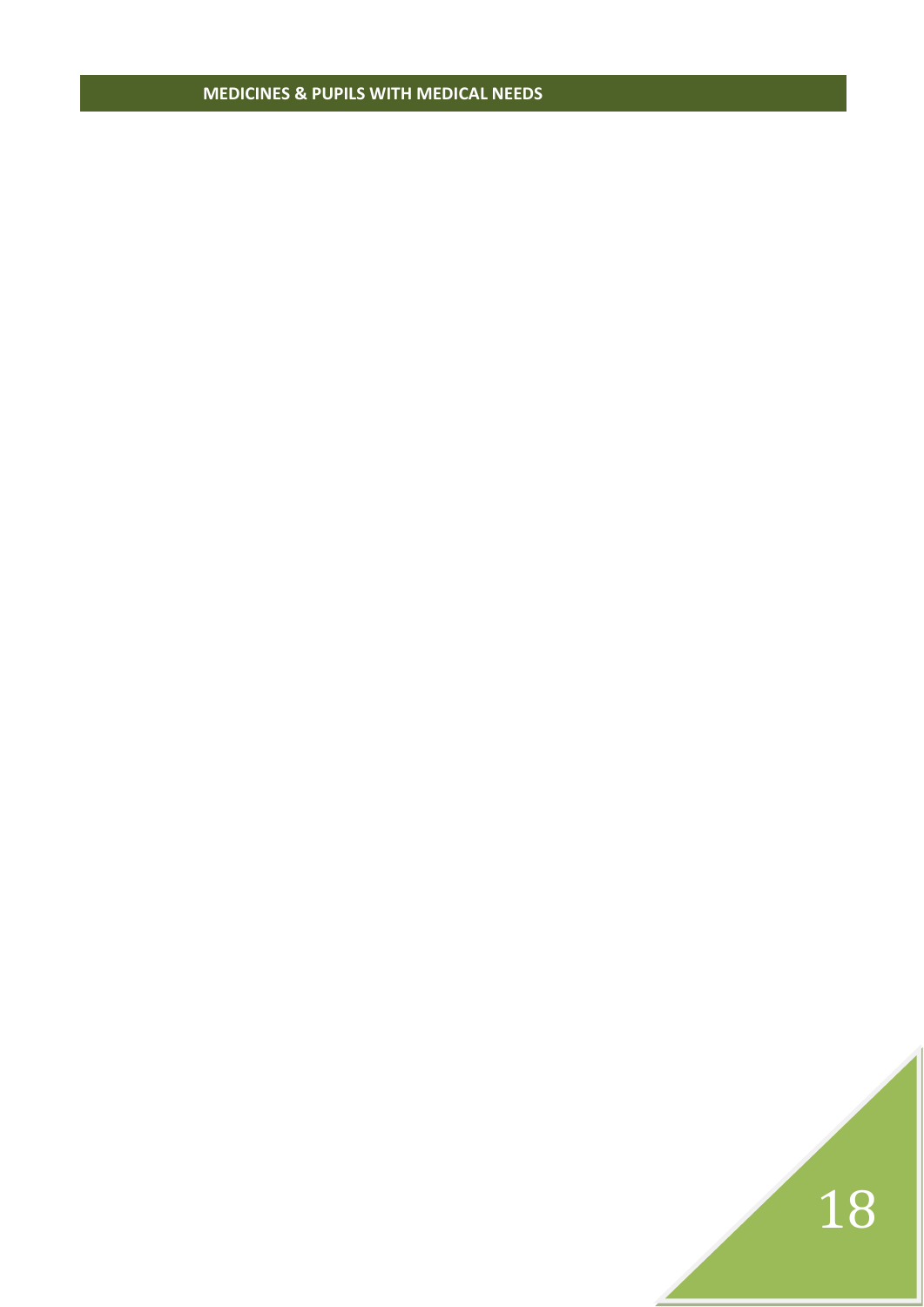# 18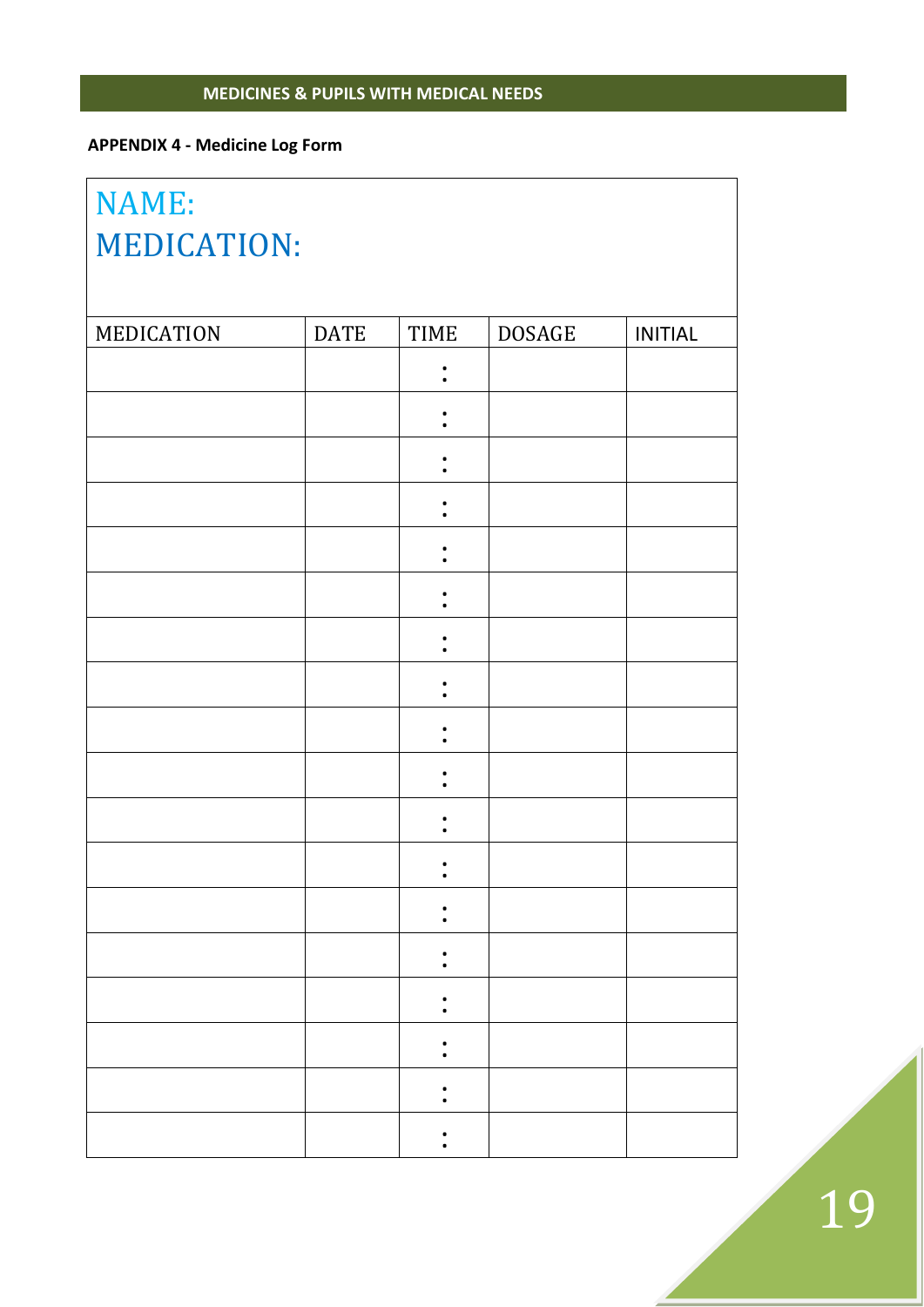# **APPENDIX 4 - Medicine Log Form**

| NAME:              |             |                        |               |                |
|--------------------|-------------|------------------------|---------------|----------------|
| <b>MEDICATION:</b> |             |                        |               |                |
|                    |             |                        |               |                |
| MEDICATION         | <b>DATE</b> | <b>TIME</b>            | <b>DOSAGE</b> | <b>INITIAL</b> |
|                    |             | $\bullet$<br>$\bullet$ |               |                |
|                    |             | $\bullet$<br>$\bullet$ |               |                |
|                    |             | $\bullet$<br>$\bullet$ |               |                |
|                    |             | $\bullet$<br>$\bullet$ |               |                |
|                    |             | $\bullet$<br>$\bullet$ |               |                |
|                    |             |                        |               |                |
|                    |             | $\bullet$<br>$\bullet$ |               |                |
|                    |             | $\bullet$              |               |                |
|                    |             | $\bullet$<br>$\bullet$ |               |                |
|                    |             | $\bullet$<br>$\bullet$ |               |                |
|                    |             | $\bullet$<br>$\bullet$ |               |                |
|                    |             | $\bullet$<br>٠         |               |                |
|                    |             |                        |               |                |
|                    |             |                        |               |                |
|                    |             |                        |               |                |
|                    |             |                        |               |                |
|                    |             |                        |               |                |
|                    |             |                        |               |                |